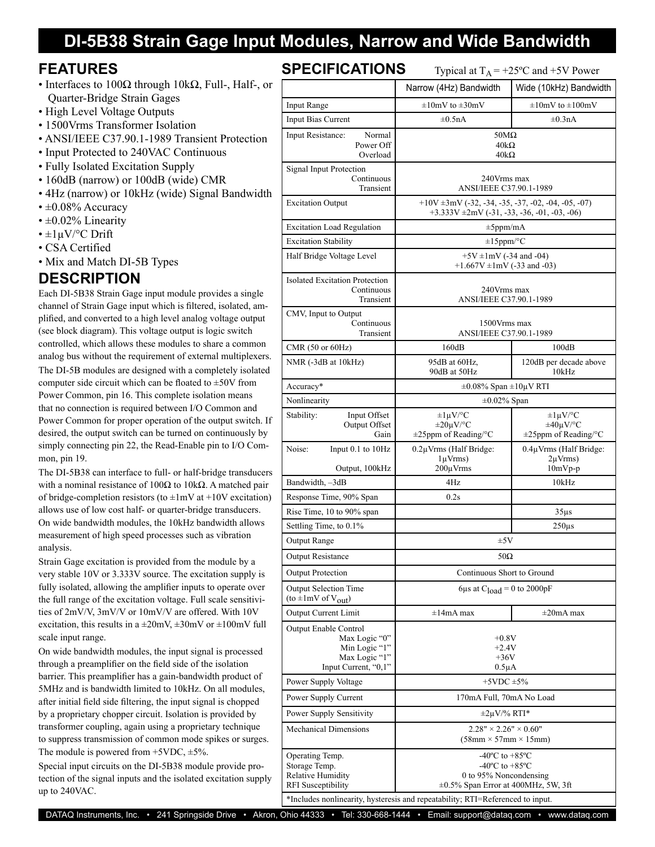### **DI-5B38 Strain Gage Input Modules, Narrow and Wide Bandwidth**

#### **FEATURES**

- Interfaces to  $100\Omega$  through  $10k\Omega$ , Full-, Half-, or Quarter-Bridge Strain Gages
- High Level Voltage Outputs
- 1500Vrms Transformer Isolation
- ANSI/IEEE C37.90.1-1989 Transient Protection
- Input Protected to 240VAC Continuous
- Fully Isolated Excitation Supply
- 160dB (narrow) or 100dB (wide) CMR
- 4Hz (narrow) or 10kHz (wide) Signal Bandwidth
- $\cdot$  ±0.08% Accuracy
- $\cdot \pm 0.02\%$  Linearity
- $\pm 1 \mu V$ <sup>o</sup>C Drift
- CSA Certified
- Mix and Match DI-5B Types

### **DESCRIPTION**

Each DI-5B38 Strain Gage input module provides a single channel of Strain Gage input which is filtered, isolated, amplified, and converted to a high level analog voltage output (see block diagram). This voltage output is logic switch controlled, which allows these modules to share a common analog bus without the requirement of external multiplexers. The DI-5B modules are designed with a completely isolated computer side circuit which can be floated to  $\pm 50V$  from Power Common, pin 16. This complete isolation means that no connection is required between I/O Common and Power Common for proper operation of the output switch. If desired, the output switch can be turned on continuously by simply connecting pin 22, the Read-Enable pin to I/O Common, pin 19.

The DI-5B38 can interface to full- or half-bridge transducers with a nominal resistance of  $100\Omega$  to  $10k\Omega$ . A matched pair of bridge-completion resistors (to  $\pm 1$ mV at  $+10V$  excitation) allows use of low cost half- or quarter-bridge transducers. On wide bandwidth modules, the 10kHz bandwidth allows measurement of high speed processes such as vibration analysis.

Strain Gage excitation is provided from the module by a very stable 10V or 3.333V source. The excitation supply is fully isolated, allowing the amplifier inputs to operate over the full range of the excitation voltage. Full scale sensitivities of 2mV/V, 3mV/V or 10mV/V are offered. With 10V excitation, this results in a  $\pm 20$ mV,  $\pm 30$ mV or  $\pm 100$ mV full scale input range.

On wide bandwidth modules, the input signal is processed through a preamplifier on the field side of the isolation barrier. This preamplifier has a gain-bandwidth product of 5MHz and is bandwidth limited to 10kHz. On all modules, after initial field side filtering, the input signal is chopped by a proprietary chopper circuit. Isolation is provided by transformer coupling, again using a proprietary technique to suppress transmission of common mode spikes or surges. The module is powered from  $+5VDC$ ,  $\pm 5\%$ .

Special input circuits on the DI-5B38 module provide protection of the signal inputs and the isolated excitation supply up to 240VAC.

| <b>SPECIFICATIONS</b>                                                                            | Typical at $T_A$ = +25°C and +5V Power                                                                                                                                                                                        |                                                                       |  |  |  |
|--------------------------------------------------------------------------------------------------|-------------------------------------------------------------------------------------------------------------------------------------------------------------------------------------------------------------------------------|-----------------------------------------------------------------------|--|--|--|
|                                                                                                  | Narrow (4Hz) Bandwidth                                                                                                                                                                                                        | Wide (10kHz) Bandwidth                                                |  |  |  |
| Input Range                                                                                      | $\pm 10$ mV to $\pm 30$ mV                                                                                                                                                                                                    | $\pm 10$ mV to $\pm 100$ mV                                           |  |  |  |
| Input Bias Current                                                                               | $\pm 0.5$ nA<br>$\pm 0.3$ nA                                                                                                                                                                                                  |                                                                       |  |  |  |
| Input Resistance:<br>Normal<br>Power Off<br>Overload                                             | $50M\Omega$<br>$40k\Omega$<br>$40k\Omega$                                                                                                                                                                                     |                                                                       |  |  |  |
| Signal Input Protection<br>Continuous<br>Transient                                               | 240Vrms max<br>ANSI/IEEE C37.90.1-1989                                                                                                                                                                                        |                                                                       |  |  |  |
| <b>Excitation Output</b>                                                                         | $+10V \pm 3mV$ (-32, -34, -35, -37, -02, -04, -05, -07)<br>$+3.333V \pm 2mV (-31, -33, -36, -01, -03, -06)$                                                                                                                   |                                                                       |  |  |  |
| <b>Excitation Load Regulation</b>                                                                | $\pm 5$ ppm/mA                                                                                                                                                                                                                |                                                                       |  |  |  |
| <b>Excitation Stability</b>                                                                      | $\pm 15$ ppm/°C                                                                                                                                                                                                               |                                                                       |  |  |  |
| Half Bridge Voltage Level                                                                        | $+5V \pm 1mV$ (-34 and -04)<br>+1.667V $\pm$ 1mV (-33 and -03)                                                                                                                                                                |                                                                       |  |  |  |
| <b>Isolated Excitation Protection</b><br>Continuous<br>Transient                                 | 240Vrms max<br>ANSI/IEEE C37.90.1-1989                                                                                                                                                                                        |                                                                       |  |  |  |
| CMV, Input to Output<br>Continuous<br>Transient                                                  | 1500Vrms max<br>ANSI/IEEE C37.90.1-1989                                                                                                                                                                                       |                                                                       |  |  |  |
| CMR (50 or 60Hz)                                                                                 | 160dB                                                                                                                                                                                                                         | 100dB                                                                 |  |  |  |
| NMR (-3dB at 10kHz)                                                                              | 95dB at 60Hz,<br>90dB at 50Hz                                                                                                                                                                                                 | 120dB per decade above<br>10kHz                                       |  |  |  |
| Accuracy*                                                                                        | $\pm 0.08\%$ Span $\pm 10\mu$ V RTI                                                                                                                                                                                           |                                                                       |  |  |  |
| Nonlinearity                                                                                     | $\pm 0.02\%$ Span                                                                                                                                                                                                             |                                                                       |  |  |  |
| Stability:<br>Input Offset<br>Output Offset<br>Gain                                              | $\pm 1 \mu V$ /°C<br>$\pm 20 \mu V$ /°C<br>±25ppm of Reading/°C                                                                                                                                                               | $\pm 1 \mu V$ /°C<br>$\pm 40 \mu V$ /°C<br>$\pm 25$ ppm of Reading/°C |  |  |  |
| Noise:<br>Input 0.1 to 10Hz<br>Output, 100kHz                                                    | $0.2 \mu V$ rms (Half Bridge:<br>$1 \mu Vrms$ )<br>$200 \mu V$ rms                                                                                                                                                            | 0.4µVrms (Half Bridge:<br>$2\mu Vrms$ )<br>$10mVp-p$                  |  |  |  |
| Bandwidth, -3dB                                                                                  | 4Hz                                                                                                                                                                                                                           | 10kHz                                                                 |  |  |  |
| Response Time, 90% Span                                                                          | 0.2s                                                                                                                                                                                                                          |                                                                       |  |  |  |
| Rise Time, 10 to 90% span                                                                        |                                                                                                                                                                                                                               | $35\mu s$                                                             |  |  |  |
| Settling Time, to 0.1%                                                                           |                                                                                                                                                                                                                               | $250\mu s$                                                            |  |  |  |
| Output Range                                                                                     | $\pm 5V$                                                                                                                                                                                                                      |                                                                       |  |  |  |
| <b>Output Resistance</b>                                                                         | $50\Omega$                                                                                                                                                                                                                    |                                                                       |  |  |  |
| <b>Output Protection</b>                                                                         | Continuous Short to Ground                                                                                                                                                                                                    |                                                                       |  |  |  |
| <b>Output Selection Time</b><br>(to $\pm 1$ mV of V <sub>out</sub> )                             | 6µs at $C_{load} = 0$ to 2000pF                                                                                                                                                                                               |                                                                       |  |  |  |
| <b>Output Current Limit</b>                                                                      | $\pm 14$ mA max                                                                                                                                                                                                               | $\pm 20$ mA max                                                       |  |  |  |
| Output Enable Control<br>Max Logic "0"<br>Min Logic "1"<br>Max Logic "1"<br>Input Current, "0,1" | $+0.8V$<br>$+2.4V$<br>$+36V$<br>$0.5\mu A$                                                                                                                                                                                    |                                                                       |  |  |  |
| Power Supply Voltage                                                                             | $+5$ VDC $\pm$ 5%                                                                                                                                                                                                             |                                                                       |  |  |  |
| Power Supply Current                                                                             | 170mA Full, 70mA No Load                                                                                                                                                                                                      |                                                                       |  |  |  |
| Power Supply Sensitivity                                                                         | $\pm 2\mu V$ % RTI*                                                                                                                                                                                                           |                                                                       |  |  |  |
| <b>Mechanical Dimensions</b>                                                                     | $2.28" \times 2.26" \times 0.60"$<br>$(58mm \times 57mm \times 15mm)$                                                                                                                                                         |                                                                       |  |  |  |
| Operating Temp.<br>Storage Temp.<br>Relative Humidity<br><b>RFI</b> Susceptibility               | $-40^{\circ}$ C to $+85^{\circ}$ C<br>-40 $^{\circ}$ C to +85 $^{\circ}$ C<br>0 to 95% Noncondensing<br>±0.5% Span Error at 400MHz, 5W, 3ft<br>*Includes nonlinearity, hysteresis and repeatability; RTI=Referenced to input. |                                                                       |  |  |  |

DATAQ Instruments, Inc. • 241 Springside Drive • Akron, Ohio 44333 • Tel: 330-668-1444 • Email: [support@dataq.com](mailto:support@dataq.com) • [www.dataq.com](http://www.dataq.com)